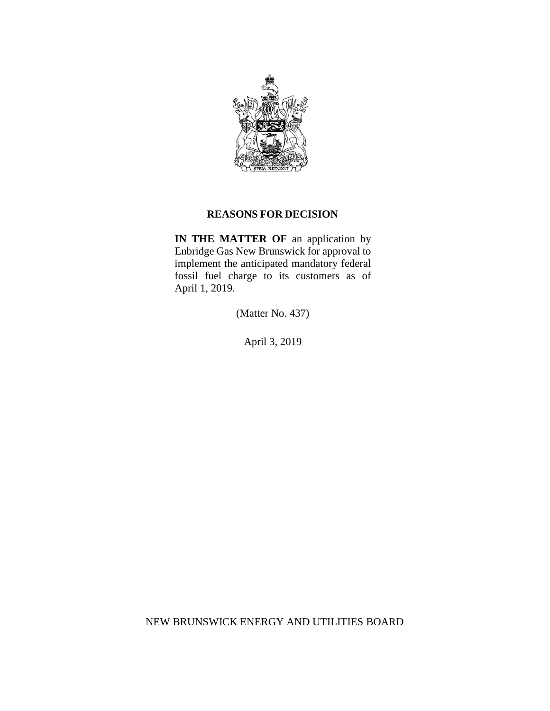

### **REASONS FOR DECISION**

**IN THE MATTER OF** an application by Enbridge Gas New Brunswick for approval to implement the anticipated mandatory federal fossil fuel charge to its customers as of April 1, 2019.

(Matter No. 437)

April 3, 2019

NEW BRUNSWICK ENERGY AND UTILITIES BOARD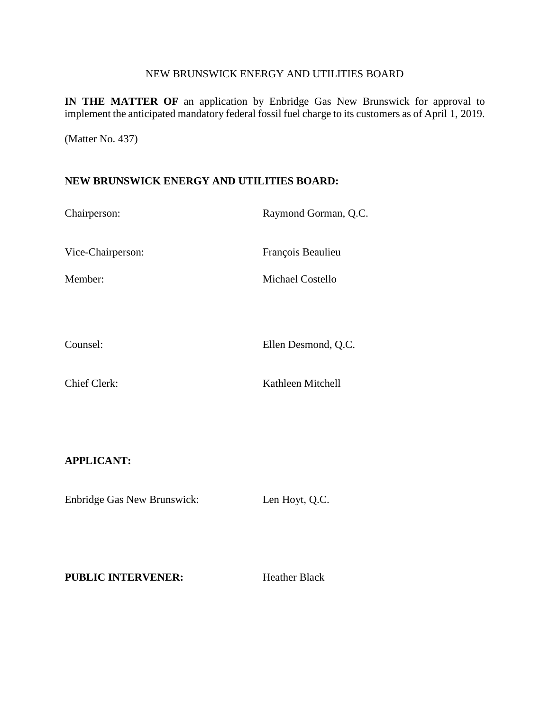#### NEW BRUNSWICK ENERGY AND UTILITIES BOARD

**IN THE MATTER OF** an application by Enbridge Gas New Brunswick for approval to implement the anticipated mandatory federal fossil fuel charge to its customers as of April 1, 2019.

(Matter No. 437)

### **NEW BRUNSWICK ENERGY AND UTILITIES BOARD:**

| Chairperson:        | Raymond Gorman, Q.C.    |
|---------------------|-------------------------|
| Vice-Chairperson:   | François Beaulieu       |
| Member:             | <b>Michael Costello</b> |
|                     |                         |
| Counsel:            | Ellen Desmond, Q.C.     |
| <b>Chief Clerk:</b> | Kathleen Mitchell       |

## **APPLICANT:**

Enbridge Gas New Brunswick: Len Hoyt, Q.C.

**PUBLIC INTERVENER:** Heather Black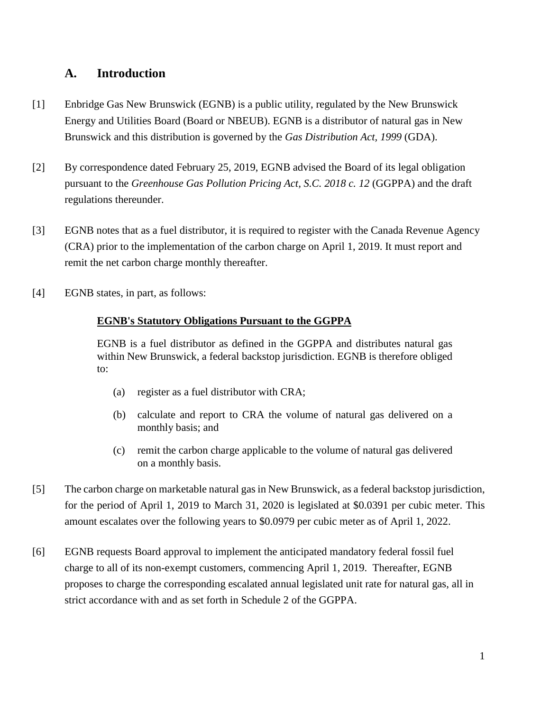# **A. Introduction**

- [1] Enbridge Gas New Brunswick (EGNB) is a public utility, regulated by the New Brunswick Energy and Utilities Board (Board or NBEUB). EGNB is a distributor of natural gas in New Brunswick and this distribution is governed by the *Gas Distribution Act, 1999* (GDA).
- [2] By correspondence dated February 25, 2019, EGNB advised the Board of its legal obligation pursuant to the *Greenhouse Gas Pollution Pricing Act, S.C. 2018 c. 12* (GGPPA) and the draft regulations thereunder.
- [3] EGNB notes that as a fuel distributor, it is required to register with the Canada Revenue Agency (CRA) prior to the implementation of the carbon charge on April 1, 2019. It must report and remit the net carbon charge monthly thereafter.
- [4] EGNB states, in part, as follows:

## **EGNB's Statutory Obligations Pursuant to the GGPPA**

EGNB is a fuel distributor as defined in the GGPPA and distributes natural gas within New Brunswick, a federal backstop jurisdiction. EGNB is therefore obliged to:

- (a) register as a fuel distributor with CRA;
- (b) calculate and report to CRA the volume of natural gas delivered on a monthly basis; and
- (c) remit the carbon charge applicable to the volume of natural gas delivered on a monthly basis.
- [5] The carbon charge on marketable natural gas in New Brunswick, as a federal backstop jurisdiction, for the period of April 1, 2019 to March 31, 2020 is legislated at \$0.0391 per cubic meter. This amount escalates over the following years to \$0.0979 per cubic meter as of April 1, 2022.
- [6] EGNB requests Board approval to implement the anticipated mandatory federal fossil fuel charge to all of its non-exempt customers, commencing April 1, 2019. Thereafter, EGNB proposes to charge the corresponding escalated annual legislated unit rate for natural gas, all in strict accordance with and as set forth in Schedule 2 of the GGPPA.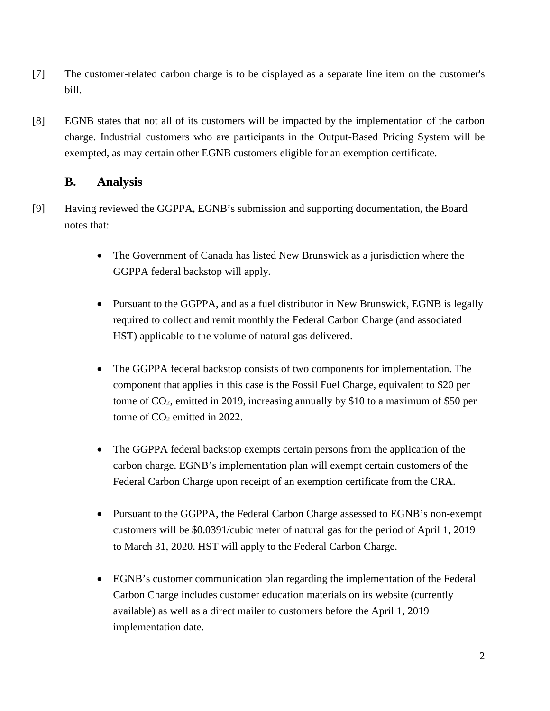- [7] The customer-related carbon charge is to be displayed as a separate line item on the customer's bill.
- [8] EGNB states that not all of its customers will be impacted by the implementation of the carbon charge. Industrial customers who are participants in the Output-Based Pricing System will be exempted, as may certain other EGNB customers eligible for an exemption certificate.

## **B. Analysis**

- [9] Having reviewed the GGPPA, EGNB's submission and supporting documentation, the Board notes that:
	- The Government of Canada has listed New Brunswick as a jurisdiction where the GGPPA federal backstop will apply.
	- Pursuant to the GGPPA, and as a fuel distributor in New Brunswick, EGNB is legally required to collect and remit monthly the Federal Carbon Charge (and associated HST) applicable to the volume of natural gas delivered.
	- The GGPPA federal backstop consists of two components for implementation. The component that applies in this case is the Fossil Fuel Charge, equivalent to \$20 per tonne of  $CO<sub>2</sub>$ , emitted in 2019, increasing annually by \$10 to a maximum of \$50 per tonne of  $CO<sub>2</sub>$  emitted in 2022.
	- The GGPPA federal backstop exempts certain persons from the application of the carbon charge. EGNB's implementation plan will exempt certain customers of the Federal Carbon Charge upon receipt of an exemption certificate from the CRA.
	- Pursuant to the GGPPA, the Federal Carbon Charge assessed to EGNB's non-exempt customers will be \$0.0391/cubic meter of natural gas for the period of April 1, 2019 to March 31, 2020. HST will apply to the Federal Carbon Charge.
	- EGNB's customer communication plan regarding the implementation of the Federal Carbon Charge includes customer education materials on its website (currently available) as well as a direct mailer to customers before the April 1, 2019 implementation date.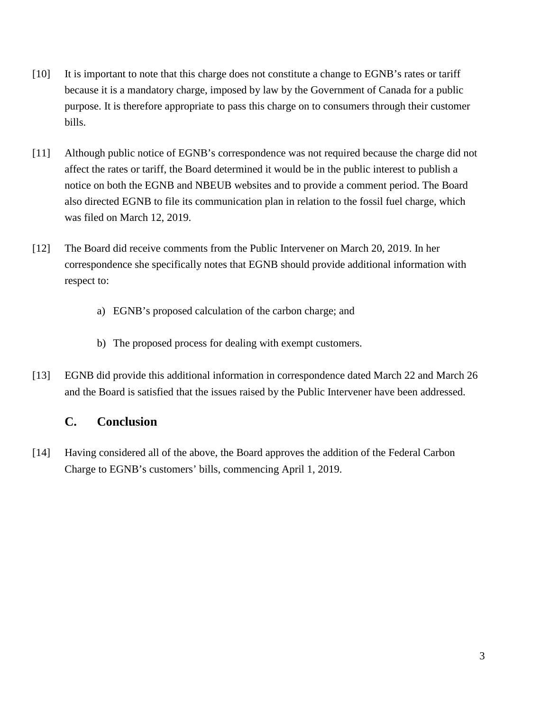- [10] It is important to note that this charge does not constitute a change to EGNB's rates or tariff because it is a mandatory charge, imposed by law by the Government of Canada for a public purpose. It is therefore appropriate to pass this charge on to consumers through their customer bills.
- [11] Although public notice of EGNB's correspondence was not required because the charge did not affect the rates or tariff, the Board determined it would be in the public interest to publish a notice on both the EGNB and NBEUB websites and to provide a comment period. The Board also directed EGNB to file its communication plan in relation to the fossil fuel charge, which was filed on March 12, 2019.
- [12] The Board did receive comments from the Public Intervener on March 20, 2019. In her correspondence she specifically notes that EGNB should provide additional information with respect to:
	- a) EGNB's proposed calculation of the carbon charge; and
	- b) The proposed process for dealing with exempt customers.
- [13] EGNB did provide this additional information in correspondence dated March 22 and March 26 and the Board is satisfied that the issues raised by the Public Intervener have been addressed.

# **C. Conclusion**

[14] Having considered all of the above, the Board approves the addition of the Federal Carbon Charge to EGNB's customers' bills, commencing April 1, 2019.